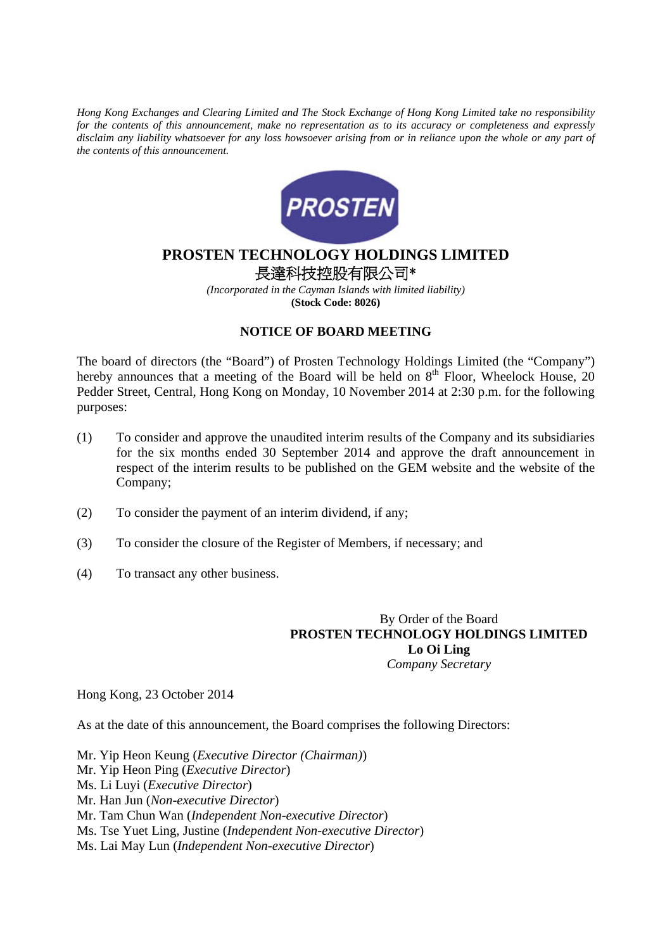*Hong Kong Exchanges and Clearing Limited and The Stock Exchange of Hong Kong Limited take no responsibility for the contents of this announcement, make no representation as to its accuracy or completeness and expressly disclaim any liability whatsoever for any loss howsoever arising from or in reliance upon the whole or any part of the contents of this announcement.* 



## **PROSTEN TECHNOLOGY HOLDINGS LIMITED**  長達科技控股有限公司\*

*(Incorporated in the Cayman Islands with limited liability)*  **(Stock Code: 8026)** 

## **NOTICE OF BOARD MEETING**

The board of directors (the "Board") of Prosten Technology Holdings Limited (the "Company") hereby announces that a meeting of the Board will be held on  $8<sup>th</sup>$  Floor, Wheelock House, 20 Pedder Street, Central, Hong Kong on Monday, 10 November 2014 at 2:30 p.m. for the following purposes:

- (1) To consider and approve the unaudited interim results of the Company and its subsidiaries for the six months ended 30 September 2014 and approve the draft announcement in respect of the interim results to be published on the GEM website and the website of the Company;
- (2) To consider the payment of an interim dividend, if any;
- (3) To consider the closure of the Register of Members, if necessary; and
- (4) To transact any other business.

 By Order of the Board **PROSTEN TECHNOLOGY HOLDINGS LIMITED Lo Oi Ling**   *Company Secretary* 

Hong Kong, 23 October 2014

As at the date of this announcement, the Board comprises the following Directors:

Mr. Yip Heon Keung (*Executive Director (Chairman)*) Mr. Yip Heon Ping (*Executive Director*) Ms. Li Luyi (*Executive Director*) Mr. Han Jun (*Non-executive Director*) Mr. Tam Chun Wan (*Independent Non-executive Director*) Ms. Tse Yuet Ling, Justine (*Independent Non-executive Director*) Ms. Lai May Lun (*Independent Non-executive Director*)